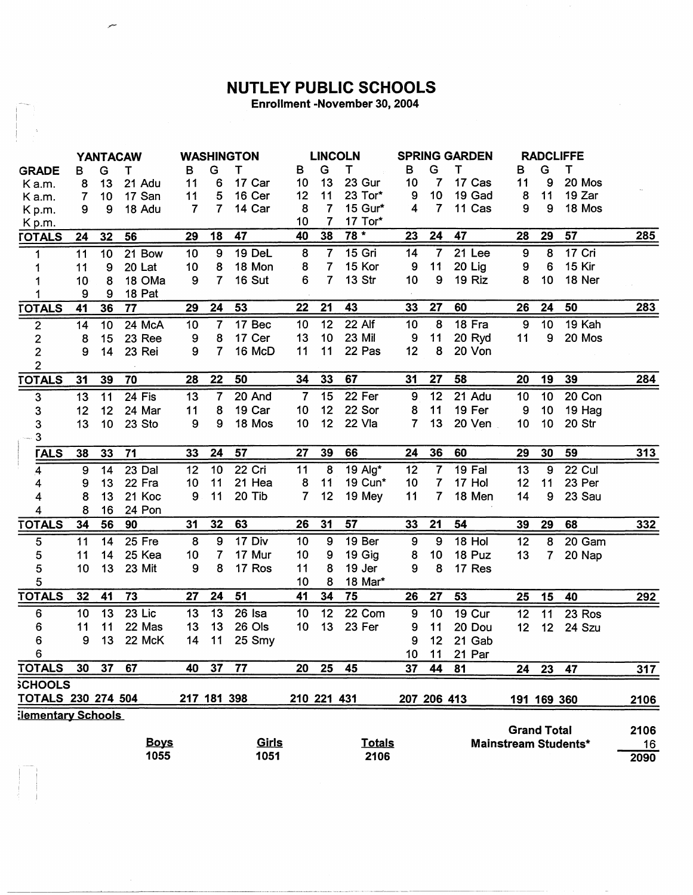## **NUTLEY PUBLIC SCHOOLS**

Enrollment -November 30, 2004

|                           |                  |    | <b>YANTACAW</b> |                |                | <b>WASHINGTON</b>   |                 | <b>LINCOLN</b>  |               | <b>SPRING GARDEN</b> |                |          |                    | <b>RADCLIFFE</b> |                             |            |
|---------------------------|------------------|----|-----------------|----------------|----------------|---------------------|-----------------|-----------------|---------------|----------------------|----------------|----------|--------------------|------------------|-----------------------------|------------|
| <b>GRADE</b>              | в                | G  | Т               | B              | G              | т                   | В               | G               | Т             | в                    | G              | т        | в                  | G                | T                           |            |
| Ka.m.                     | 8                | 13 | 21 Adu          | 11             | 6              | 17 Car              | 10              | 13              | 23 Gur        | 10                   | $\overline{7}$ | 17 Cas   | 11                 | 9                | 20 Mos                      |            |
| Ka.m.                     | 7                | 10 | 17 San          | 11             | 5              | 16 Cer              | 12              | 11              | 23 Tor*       | 9                    | 10             | 19 Gad   | 8                  | 11               | 19 Zar                      |            |
| Kp.m.                     | 9                | 9  | 18 Adu          | $\overline{7}$ | $\overline{7}$ | 14 Car              | 8               | $\overline{7}$  | 15 Gur*       | 4                    | $\overline{7}$ | 11 Cas   | 9                  | 9                | 18 Mos                      |            |
| Kp.m.                     |                  |    |                 |                |                |                     | 10              | $\overline{7}$  | 17 Tor*       |                      |                |          |                    |                  |                             |            |
| <b>TOTALS</b>             | 24               | 32 | 56              | 29             | 18             | 47                  | 40              | 38              | $78 *$        | 23                   | 24             | 47       | 28                 | 29               | 57                          | 285        |
| 1                         | 11               | 10 | 21 Bow          | 10             | 9              | 19 DeL              | 8               | $\overline{7}$  | 15 Gri        | 14                   | $\overline{7}$ | 21 Lee   | 9                  | 8                | 17 Cri                      |            |
|                           | 11               | 9  | 20 Lat          | 10             | 8              | 18 Mon              | 8               | $\overline{7}$  | 15 Kor        | 9                    | 11             | 20 Lig   | 9                  | 6                | 15 Kir                      |            |
|                           | 10               | 8  | 18 OMa          | 9              | 7              | 16 Sut              | 6               | $\overline{7}$  | <b>13 Str</b> | 10                   | 9              | 19 Riz   | 8                  | 10               | 18 Ner                      |            |
|                           | 9                | 9  | 18 Pat          |                |                |                     |                 |                 |               |                      |                |          |                    |                  |                             |            |
| <b>TOTALS</b>             | 41               | 36 | 77              | 29             | 24             | 53                  | 22              | 21              | 43            | 33                   | 27             | 60       | 26                 | 24               | 50                          | 283        |
| $\boldsymbol{2}$          | 14               | 10 | 24 McA          | 10             | $\overline{7}$ | $\overline{17}$ Bec | 10              | $\overline{12}$ | 22 Alf        | 10                   | 8              | 18 Fra   | $\boldsymbol{9}$   | 10               | 19 Kah                      |            |
| $\overline{\mathbf{c}}$   | 8                | 15 | 23 Ree          | 9              | 8              | 17 Cer              | 13              | 10              | 23 Mil        | 9                    | 11             | 20 Ryd   | 11                 | 9                | 20 Mos                      |            |
| $\mathbf{2}$              | 9                | 14 | 23 Rei          | 9              | 7              | 16 McD              | 11              | 11              | 22 Pas        | 12                   | 8              | 20 Von   |                    |                  |                             |            |
| $\overline{2}$            |                  |    |                 |                |                |                     |                 |                 |               |                      |                |          |                    |                  |                             |            |
| <b>TOTALS</b>             | 31               | 39 | 70              | 28             | 22             | 50                  | 34              | 33              | 67            | 31                   | 27             | 58       | 20                 | 19               | 39                          | 284        |
| $\mathsf 3$               | 13               | 11 | 24 Fis          | 13             | 7              | 20 And              | $\overline{7}$  | 15              | 22 Fer        | 9                    | 12             | 21 Adu   | 10                 | 10               | 20 Con                      |            |
| $\mathsf 3$               | 12               | 12 | 24 Mar          | 11             | 8              | 19 Car              | 10              | 12              | 22 Sor        | 8                    | 11             | 19 Fer   | 9                  | 10               | 19 Hag                      |            |
| 3                         | 13               | 10 | 23 Sto          | 9              | 9              | 18 Mos              | 10              | 12              | 22 Vla        | $\overline{7}$       | 13             | 20 Ven   | 10                 | 10               | 20 Str                      |            |
| 3                         |                  |    |                 |                |                |                     |                 |                 |               |                      |                |          |                    |                  |                             |            |
| <b>TALS</b>               | 38               | 33 | 71              | 33             | 24             | 57                  | 27              | 39              | 66            | 24                   | 36             | 60       | 29                 | 30               | 59                          | 313        |
| $\overline{\mathbf{4}}$   | $\boldsymbol{9}$ | 14 | 23 Dal          | 12             | 10             | 22 Cri              | 11              | 8               | 19 Alg*       | 12                   | $\overline{7}$ | 19 Fal   | 13                 | 9                | <b>22 Cul</b>               |            |
| 4                         | 9                | 13 | 22 Fra          | 10             | 11             | 21 Hea              | 8               | 11              | 19 Cun*       | 10                   | 7              | 17 Hol   | 12                 | 11               | 23 Per                      |            |
| $\overline{\mathbf{4}}$   | 8                | 13 | 21 Koc          | 9              | 11             | 20 Tib              | 7               | 12              | 19 Mey        | 11                   | 7              | 18 Men   | 14                 | 9                | 23 Sau                      |            |
| $\overline{\mathbf{4}}$   | 8                | 16 | 24 Pon          |                |                |                     |                 |                 |               |                      |                |          |                    |                  |                             |            |
| <b>TOTALS</b>             | 34               | 56 | 90              | 31             | 32             | 63                  | 26              | 31              | 57            | 33                   | 21             | 54       | 39                 | 29               | 68                          | <u>332</u> |
| $\mathbf 5$               | 11               | 14 | 25 Fre          | 8              | 9              | 17 Div              | 10              | 9               | 19 Ber        | $\overline{9}$       | $\overline{9}$ | $18$ Hol | 12                 | 8                | 20 Gam                      |            |
| $\bf 5$                   | 11               | 14 | 25 Kea          | 10             | $\overline{7}$ | 17 Mur              | 10              | 9               | 19 Gig        | 8                    | 10             | 18 Puz   | 13                 | $\overline{7}$   | 20 Nap                      |            |
| $\mathbf 5$               | 10               | 13 | 23 Mit          | 9              | 8              | 17 Ros              | 11              | 8               | 19 Jer        | 9                    | 8              | 17 Res   |                    |                  |                             |            |
| $\sqrt{5}$                |                  |    |                 |                |                |                     | 10              | 8               | 18 Mar*       |                      |                |          |                    |                  |                             |            |
| <b>TOTALS</b>             | 32               | 41 | 73              | 27             | 24             | 51                  | 41              | 34              | 75            | 26                   | 27             | 53       | 25                 | 15               | 40                          | 292        |
| $\bf 6$                   | 10               | 13 | 23 Lic          | 13             | 13             | 26 Isa              | 10              | 12              | 22 Com        | 9                    | 10             | 19 Cur   | 12 <sub>2</sub>    | 11               | 23 Ros                      |            |
| 6                         | 11               | 11 | 22 Mas          | 13             | 13             | 26 Ols              | 10 <sub>1</sub> | 13              | 23 Fer        | 9                    | 11             | 20 Dou   | 12                 | 12 <sub>2</sub>  | 24 Szu                      |            |
| $\bf 6$                   | 9                | 13 | 22 McK          | 14             | 11             | 25 Smy              |                 |                 |               | 9                    | 12             | 21 Gab   |                    |                  |                             |            |
| 6                         |                  |    |                 |                |                |                     |                 |                 |               | 10 <sub>1</sub>      | 11             | 21 Par   |                    |                  |                             |            |
| <b>TOTALS</b>             | 30               | 37 | 67              | 40             | 37             | 77                  | 20              | 25              | 45            | 37                   | 44             | 81       | 24                 | 23               | 47                          | 317        |
| <b>SCHOOLS</b>            |                  |    |                 |                |                |                     |                 |                 |               |                      |                |          |                    |                  |                             |            |
| TOTALS 230 274 504        |                  |    |                 | 217 181 398    |                |                     |                 | 210 221 431     |               |                      | 207 206 413    |          |                    | 191 169 360      |                             | 2106       |
| <b>Elementary Schools</b> |                  |    |                 |                |                |                     |                 |                 |               |                      |                |          |                    |                  |                             |            |
|                           |                  |    |                 |                |                |                     |                 |                 |               |                      |                |          | <b>Grand Total</b> |                  |                             | 2106       |
|                           |                  |    | <b>Boys</b>     |                |                | Girls               |                 |                 | <b>Totals</b> |                      |                |          |                    |                  | <b>Mainstream Students*</b> | 16         |
|                           |                  |    | 1055            |                |                | 1051                |                 |                 | 2106          |                      |                |          |                    |                  |                             | 2090       |